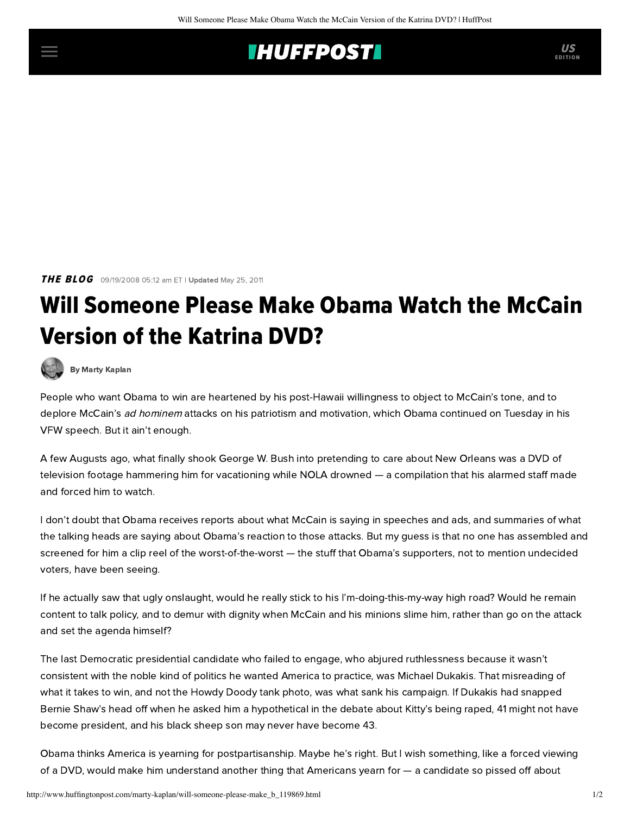## **INUFFPOSTI** US

**THE BLOG** 09/19/2008 05:12 am ET | Updated May 25, 2011

## Will Someone Please Make Obama Watch the McCain Version of the Katrina DVD?



[By Marty Kaplan](http://www.huffingtonpost.com/author/marty-kaplan)

People who want Obama to win are heartened by his post-Hawaii willingness to object to McCain's tone, and to deplore McCain's ad hominem attacks on his patriotism and motivation, which Obama continued on Tuesday in his [VFW speech.](http://www.huffingtonpost.com/2008/08/19/obama-to-mccain-dignify-y_n_119798.html) But it ain't enough.

A few Augusts ago, what finally shook George W. Bush into pretending to care about New Orleans was a DVD of television footage hammering him for vacationing while NOLA drowned — a compilation that his alarmed staff made and forced him to watch.

I don't doubt that Obama receives reports about what McCain is saying in speeches and ads, and summaries of what the talking heads are saying about Obama's reaction to those attacks. But my guess is that no one has assembled and screened for him a clip reel of the worst-of-the-worst — the stuff that Obama's supporters, not to mention undecided voters, have been seeing.

If he actually saw that ugly onslaught, would he really stick to his I'm-doing-this-my-way high road? Would he remain content to talk policy, and to demur with dignity when McCain and his minions slime him, rather than go on the attack and set the agenda himself?

The last Democratic presidential candidate who failed to engage, who abjured ruthlessness because it wasn't consistent with the noble kind of politics he wanted America to practice, was Michael Dukakis. That misreading of what it takes to win, and not the Howdy Doody tank photo, was what sank his campaign. If Dukakis had snapped Bernie Shaw's head off when he asked him a hypothetical in the debate about Kitty's being raped, 41 might not have become president, and his black sheep son may never have become 43.

Obama thinks America is yearning for postpartisanship. Maybe he's right. But I wish something, like a forced viewing of a DVD, would make him understand another thing that Americans yearn for — a candidate so pissed off about